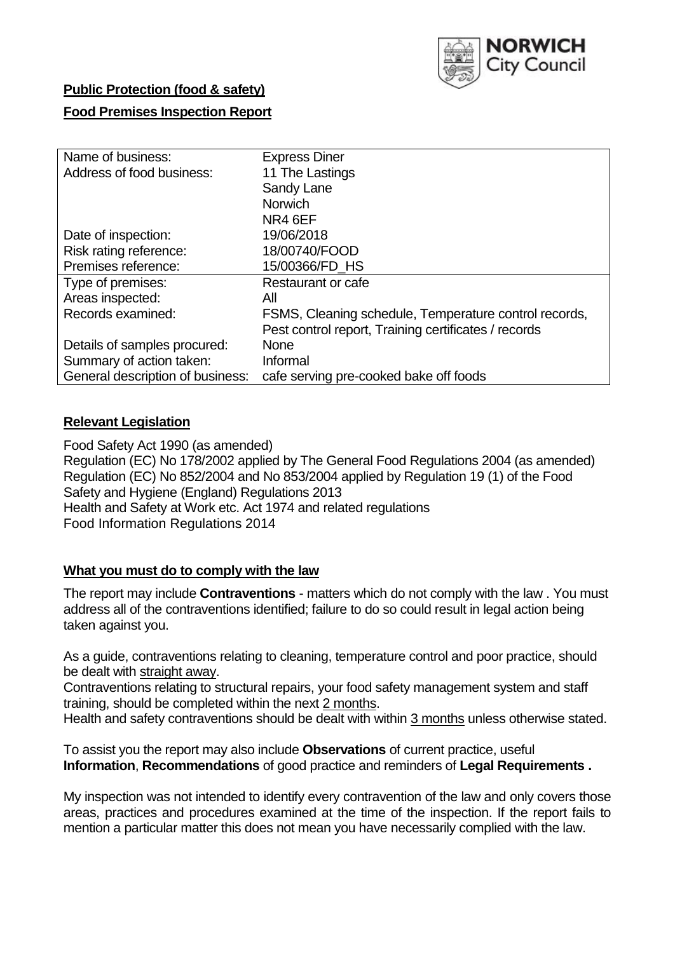

# **Public Protection (food & safety)**

# **Food Premises Inspection Report**

| Name of business:                | <b>Express Diner</b>                                  |
|----------------------------------|-------------------------------------------------------|
| Address of food business:        | 11 The Lastings                                       |
|                                  | Sandy Lane                                            |
|                                  | <b>Norwich</b>                                        |
|                                  | NR4 6EF                                               |
| Date of inspection:              | 19/06/2018                                            |
| Risk rating reference:           | 18/00740/FOOD                                         |
| Premises reference:              | 15/00366/FD HS                                        |
| Type of premises:                | Restaurant or cafe                                    |
| Areas inspected:                 | All                                                   |
| Records examined:                | FSMS, Cleaning schedule, Temperature control records, |
|                                  | Pest control report, Training certificates / records  |
| Details of samples procured:     | <b>None</b>                                           |
| Summary of action taken:         | Informal                                              |
| General description of business: | cafe serving pre-cooked bake off foods                |

# **Relevant Legislation**

Food Safety Act 1990 (as amended) Regulation (EC) No 178/2002 applied by The General Food Regulations 2004 (as amended) Regulation (EC) No 852/2004 and No 853/2004 applied by Regulation 19 (1) of the Food Safety and Hygiene (England) Regulations 2013 Health and Safety at Work etc. Act 1974 and related regulations Food Information Regulations 2014

## **What you must do to comply with the law**

The report may include **Contraventions** - matters which do not comply with the law . You must address all of the contraventions identified; failure to do so could result in legal action being taken against you.

As a guide, contraventions relating to cleaning, temperature control and poor practice, should be dealt with straight away.

Contraventions relating to structural repairs, your food safety management system and staff training, should be completed within the next 2 months.

Health and safety contraventions should be dealt with within 3 months unless otherwise stated.

To assist you the report may also include **Observations** of current practice, useful **Information**, **Recommendations** of good practice and reminders of **Legal Requirements .**

My inspection was not intended to identify every contravention of the law and only covers those areas, practices and procedures examined at the time of the inspection. If the report fails to mention a particular matter this does not mean you have necessarily complied with the law.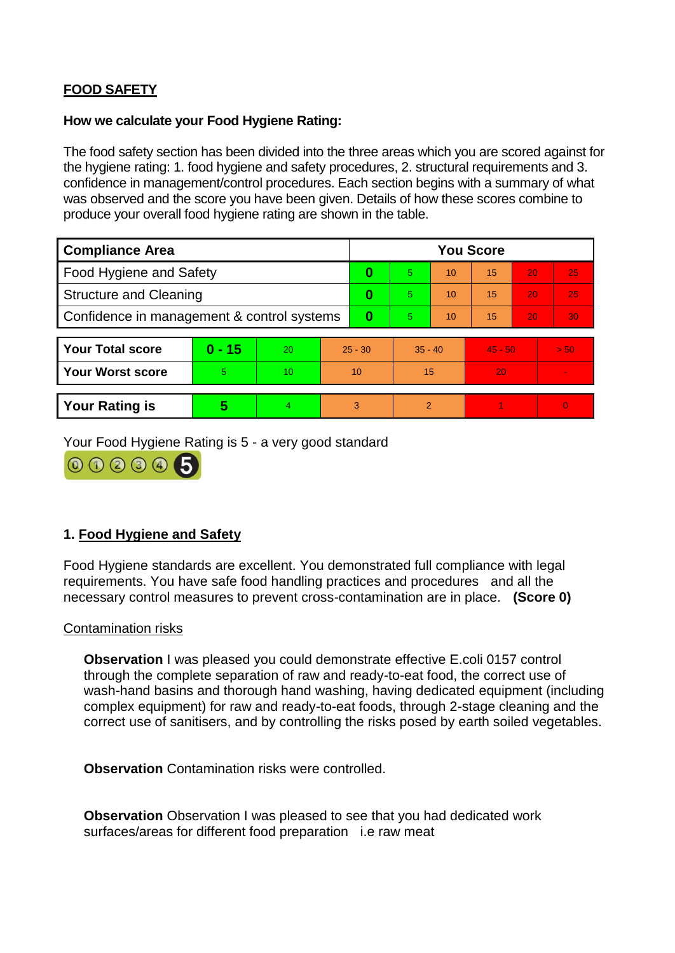# **FOOD SAFETY**

### **How we calculate your Food Hygiene Rating:**

The food safety section has been divided into the three areas which you are scored against for the hygiene rating: 1. food hygiene and safety procedures, 2. structural requirements and 3. confidence in management/control procedures. Each section begins with a summary of what was observed and the score you have been given. Details of how these scores combine to produce your overall food hygiene rating are shown in the table.

| <b>Compliance Area</b>                     |          |    |           | <b>You Score</b> |                |    |           |    |          |  |  |
|--------------------------------------------|----------|----|-----------|------------------|----------------|----|-----------|----|----------|--|--|
| Food Hygiene and Safety                    |          |    |           | $\bf{0}$         | $\overline{5}$ | 10 | 15        | 20 | 25       |  |  |
| <b>Structure and Cleaning</b>              |          |    | 0         | 5.               | 10             | 15 | 20        | 25 |          |  |  |
| Confidence in management & control systems |          |    | $\bf{0}$  | 5                | 10             | 15 | 20        | 30 |          |  |  |
|                                            |          |    |           |                  |                |    |           |    |          |  |  |
| <b>Your Total score</b>                    | $0 - 15$ | 20 | $25 - 30$ |                  | $35 - 40$      |    | $45 - 50$ |    | > 50     |  |  |
| <b>Your Worst score</b>                    | 5        | 10 | 10        |                  | 15             |    | 20        |    |          |  |  |
|                                            |          |    |           |                  |                |    |           |    |          |  |  |
| <b>Your Rating is</b>                      | 5        | 4  | 3         |                  | $\overline{2}$ |    |           |    | $\Omega$ |  |  |

Your Food Hygiene Rating is 5 - a very good standard



# **1. Food Hygiene and Safety**

Food Hygiene standards are excellent. You demonstrated full compliance with legal requirements. You have safe food handling practices and procedures and all the necessary control measures to prevent cross-contamination are in place. **(Score 0)**

#### Contamination risks

**Observation** I was pleased you could demonstrate effective E.coli 0157 control through the complete separation of raw and ready-to-eat food, the correct use of wash-hand basins and thorough hand washing, having dedicated equipment (including complex equipment) for raw and ready-to-eat foods, through 2-stage cleaning and the correct use of sanitisers, and by controlling the risks posed by earth soiled vegetables.

**Observation** Contamination risks were controlled.

**Observation** Observation I was pleased to see that you had dedicated work surfaces/areas for different food preparation i.e raw meat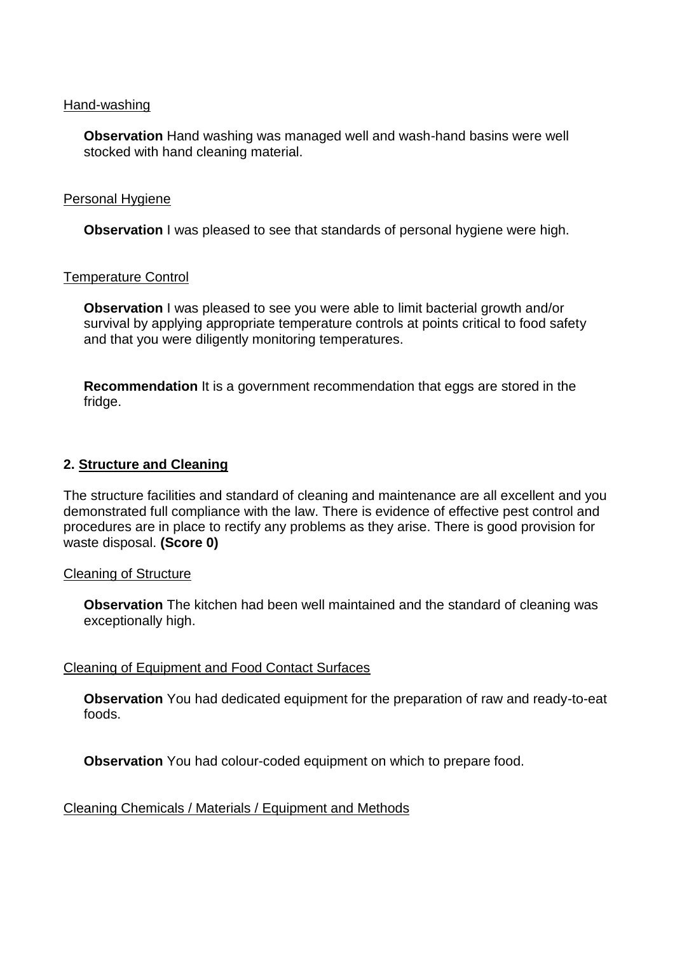#### Hand-washing

**Observation** Hand washing was managed well and wash-hand basins were well stocked with hand cleaning material.

#### Personal Hygiene

**Observation** I was pleased to see that standards of personal hygiene were high.

### Temperature Control

**Observation** I was pleased to see you were able to limit bacterial growth and/or survival by applying appropriate temperature controls at points critical to food safety and that you were diligently monitoring temperatures.

**Recommendation** It is a government recommendation that eggs are stored in the fridge.

## **2. Structure and Cleaning**

The structure facilities and standard of cleaning and maintenance are all excellent and you demonstrated full compliance with the law. There is evidence of effective pest control and procedures are in place to rectify any problems as they arise. There is good provision for waste disposal. **(Score 0)**

#### Cleaning of Structure

**Observation** The kitchen had been well maintained and the standard of cleaning was exceptionally high.

## Cleaning of Equipment and Food Contact Surfaces

**Observation** You had dedicated equipment for the preparation of raw and ready-to-eat foods.

**Observation** You had colour-coded equipment on which to prepare food.

## Cleaning Chemicals / Materials / Equipment and Methods